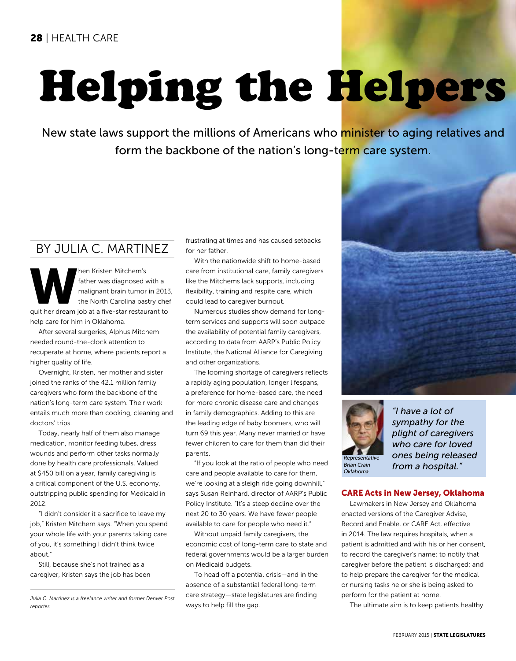# Helping the Helpers

New state laws support the millions of Americans who minister to aging relatives and form the backbone of the nation's long-term care system.

# By Julia C. Martinez

hen Kristen Mitchem's<br>
father was diagnosed with a<br>
malignant brain tumor in 2013<br>
the North Carolina pastry che<br>
quit her dream job at a five-star restaurant to father was diagnosed with a malignant brain tumor in 2013, the North Carolina pastry chef help care for him in Oklahoma.

After several surgeries, Alphus Mitchem needed round-the-clock attention to recuperate at home, where patients report a higher quality of life.

Overnight, Kristen, her mother and sister joined the ranks of the 42.1 million family caregivers who form the backbone of the nation's long-term care system. Their work entails much more than cooking, cleaning and doctors' trips.

Today, nearly half of them also manage medication, monitor feeding tubes, dress wounds and perform other tasks normally done by health care professionals. Valued at \$450 billion a year, family caregiving is a critical component of the U.S. economy, outstripping public spending for Medicaid in 2012.

"I didn't consider it a sacrifice to leave my job," Kristen Mitchem says. "When you spend your whole life with your parents taking care of you, it's something I didn't think twice about."

Still, because she's not trained as a caregiver, Kristen says the job has been frustrating at times and has caused setbacks for her father.

With the nationwide shift to home-based care from institutional care, family caregivers like the Mitchems lack supports, including flexibility, training and respite care, which could lead to caregiver burnout.

Numerous studies show demand for longterm services and supports will soon outpace the availability of potential family caregivers, according to data from AARP's Public Policy Institute, the National Alliance for Caregiving and other organizations.

The looming shortage of caregivers reflects a rapidly aging population, longer lifespans, a preference for home-based care, the need for more chronic disease care and changes in family demographics. Adding to this are the leading edge of baby boomers, who will turn 69 this year. Many never married or have fewer children to care for them than did their parents.

"If you look at the ratio of people who need care and people available to care for them, we're looking at a sleigh ride going downhill," says Susan Reinhard, director of AARP's Public Policy Institute. "It's a steep decline over the next 20 to 30 years. We have fewer people available to care for people who need it."

Without unpaid family caregivers, the economic cost of long-term care to state and federal governments would be a larger burden on Medicaid budgets.

To head off a potential crisis—and in the absence of a substantial federal long-term care strategy—state legislatures are finding ways to help fill the gap.





*"I have a lot of sympathy for the plight of caregivers who care for loved ones being released from a hospital."*

### CARE Acts in New Jersey, Oklahoma

Lawmakers in New Jersey and Oklahoma enacted versions of the Caregiver Advise, Record and Enable, or CARE Act, effective in 2014. The law requires hospitals, when a patient is admitted and with his or her consent, to record the caregiver's name; to notify that caregiver before the patient is discharged; and to help prepare the caregiver for the medical or nursing tasks he or she is being asked to perform for the patient at home.

The ultimate aim is to keep patients healthy

*Julia C. Martinez is a freelance writer and former Denver Post reporter.*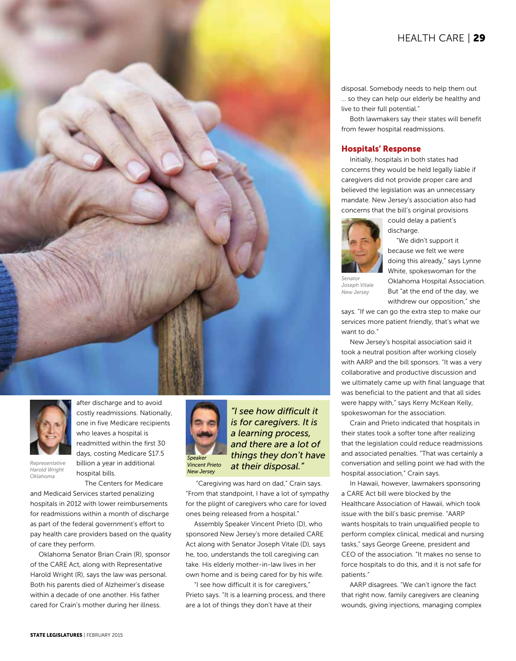# HEALTH CARE | 29

disposal. Somebody needs to help them out … so they can help our elderly be healthy and live to their full potential."

Both lawmakers say their states will benefit from fewer hospital readmissions.

### Hospitals' Response

Initially, hospitals in both states had concerns they would be held legally liable if caregivers did not provide proper care and believed the legislation was an unnecessary mandate. New Jersey's association also had concerns that the bill's original provisions

discharge.

could delay a patient's



*Senator Joseph Vitale New Jersey*

"We didn't support it because we felt we were doing this already," says Lynne White, spokeswoman for the Oklahoma Hospital Association. But "at the end of the day, we withdrew our opposition," she

says. "If we can go the extra step to make our services more patient friendly, that's what we want to do."

New Jersey's hospital association said it took a neutral position after working closely with AARP and the bill sponsors. "It was a very collaborative and productive discussion and we ultimately came up with final language that was beneficial to the patient and that all sides were happy with," says Kerry McKean Kelly, spokeswoman for the association.

Crain and Prieto indicated that hospitals in their states took a softer tone after realizing that the legislation could reduce readmissions and associated penalties. "That was certainly a conversation and selling point we had with the hospital association," Crain says.

In Hawaii, however, lawmakers sponsoring a CARE Act bill were blocked by the Healthcare Association of Hawaii, which took issue with the bill's basic premise. "AARP wants hospitals to train unqualified people to perform complex clinical, medical and nursing tasks," says George Greene, president and CEO of the association. "It makes no sense to force hospitals to do this, and it is not safe for patients."

AARP disagrees. "We can't ignore the fact that right now, family caregivers are cleaning wounds, giving injections, managing complex



after discharge and to avoid costly readmissions. Nationally, one in five Medicare recipients who leaves a hospital is readmitted within the first 30 days, costing Medicare \$17.5 billion a year in additional hospital bills.

*Representative Harold Wright Oklahoma*

The Centers for Medicare and Medicaid Services started penalizing hospitals in 2012 with lower reimbursements for readmissions within a month of discharge as part of the federal government's effort to pay health care providers based on the quality of care they perform.

Oklahoma Senator Brian Crain (R), sponsor of the CARE Act, along with Representative Harold Wright (R), says the law was personal. Both his parents died of Alzheimer's disease within a decade of one another. His father cared for Crain's mother during her illness.



*"I see how difficult it is for caregivers. It is a learning process, and there are a lot of things they don't have at their disposal."*

 "Caregiving was hard on dad," Crain says. "From that standpoint, I have a lot of sympathy for the plight of caregivers who care for loved ones being released from a hospital."

Assembly Speaker Vincent Prieto (D), who sponsored New Jersey's more detailed CARE Act along with Senator Joseph Vitale (D), says he, too, understands the toll caregiving can take. His elderly mother-in-law lives in her own home and is being cared for by his wife.

"I see how difficult it is for caregivers," Prieto says. "It is a learning process, and there are a lot of things they don't have at their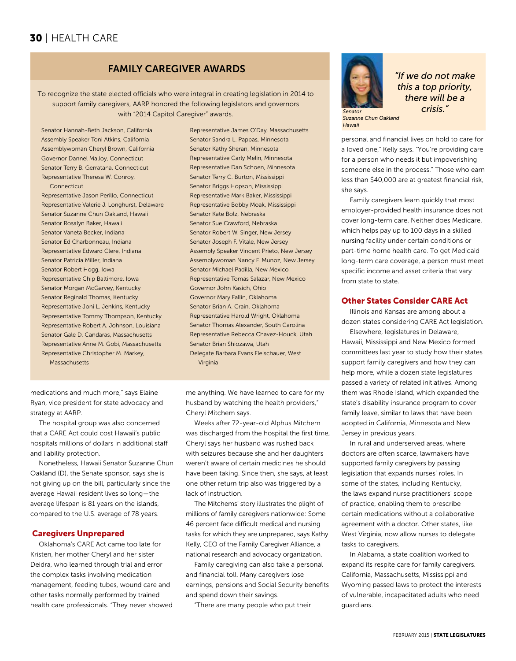# 30 | HEALTH CARE

### FAMILY CAREGIVER AWARDS

To recognize the state elected officials who were integral in creating legislation in 2014 to support family caregivers, AARP honored the following legislators and governors with "2014 Capitol Caregiver" awards.

Senator Hannah-Beth Jackson, California Assembly Speaker Toni Atkins, California Assemblywoman Cheryl Brown, California Governor Dannel Malloy, Connecticut Senator Terry B. Gerratana, Connecticut Representative Theresa W. Conroy, **Connecticut** 

Representative Jason Perillo, Connecticut Representative Valerie J. Longhurst, Delaware Senator Suzanne Chun Oakland, Hawaii Senator Rosalyn Baker, Hawaii Senator Vaneta Becker, Indiana Senator Ed Charbonneau, Indiana Representative Edward Clere, Indiana Senator Patricia Miller, Indiana Senator Robert Hogg, Iowa Representative Chip Baltimore, Iowa Senator Morgan McGarvey, Kentucky Senator Reginald Thomas, Kentucky Representative Joni L. Jenkins, Kentucky Representative Tommy Thompson, Kentucky Representative Robert A. Johnson, Louisiana Senator Gale D. Candaras, Massachusetts Representative Anne M. Gobi, Massachusetts Representative Christopher M. Markey, Massachusetts

Representative James O'Day, Massachusetts Senator Sandra L. Pappas, Minnesota Senator Kathy Sheran, Minnesota Representative Carly Melin, Minnesota Representative Dan Schoen, Minnesota Senator Terry C. Burton, Mississippi Senator Briggs Hopson, Mississippi Representative Mark Baker, Mississippi Representative Bobby Moak, Mississippi Senator Kate Bolz, Nebraska Senator Sue Crawford, Nebraska Senator Robert W. Singer, New Jersey Senator Joseph F. Vitale, New Jersey Assembly Speaker Vincent Prieto, New Jersey Assemblywoman Nancy F. Munoz, New Jersey Senator Michael Padilla, New Mexico Representative Tomás Salazar, New Mexico Governor John Kasich, Ohio Governor Mary Fallin, Oklahoma Senator Brian A. Crain, Oklahoma Representative Harold Wright, Oklahoma Senator Thomas Alexander, South Carolina Representative Rebecca Chavez-Houck, Utah Senator Brian Shiozawa, Utah Delegate Barbara Evans Fleischauer, West Virginia

medications and much more," says Elaine Ryan, vice president for state advocacy and strategy at AARP.

The hospital group was also concerned that a CARE Act could cost Hawaii's public hospitals millions of dollars in additional staff and liability protection.

Nonetheless, Hawaii Senator Suzanne Chun Oakland (D), the Senate sponsor, says she is not giving up on the bill, particularly since the average Hawaii resident lives so long—the average lifespan is 81 years on the islands, compared to the U.S. average of 78 years.

### Caregivers Unprepared

Oklahoma's CARE Act came too late for Kristen, her mother Cheryl and her sister Deidra, who learned through trial and error the complex tasks involving medication management, feeding tubes, wound care and other tasks normally performed by trained health care professionals. "They never showed me anything. We have learned to care for my husband by watching the health providers," Cheryl Mitchem says.

Weeks after 72-year-old Alphus Mitchem was discharged from the hospital the first time, Cheryl says her husband was rushed back with seizures because she and her daughters weren't aware of certain medicines he should have been taking. Since then, she says, at least one other return trip also was triggered by a lack of instruction.

The Mitchems' story illustrates the plight of millions of family caregivers nationwide: Some 46 percent face difficult medical and nursing tasks for which they are unprepared, says Kathy Kelly, CEO of the Family Caregiver Alliance, a national research and advocacy organization.

Family caregiving can also take a personal and financial toll. Many caregivers lose earnings, pensions and Social Security benefits and spend down their savings.

"There are many people who put their



*Hawaii* 

*"If we do not make this a top priority, there will be a Senator crisis."*

personal and financial lives on hold to care for a loved one," Kelly says. "You're providing care for a person who needs it but impoverishing someone else in the process." Those who earn less than \$40,000 are at greatest financial risk, she says.

Family caregivers learn quickly that most employer-provided health insurance does not cover long-term care. Neither does Medicare, which helps pay up to 100 days in a skilled nursing facility under certain conditions or part-time home health care. To get Medicaid long-term care coverage, a person must meet specific income and asset criteria that vary from state to state.

### Other States Consider CARE Act

Illinois and Kansas are among about a dozen states considering CARE Act legislation. Elsewhere, legislatures in Delaware,

Hawaii, Mississippi and New Mexico formed committees last year to study how their states support family caregivers and how they can help more, while a dozen state legislatures passed a variety of related initiatives. Among them was Rhode Island, which expanded the state's disability insurance program to cover family leave, similar to laws that have been adopted in California, Minnesota and New Jersey in previous years.

In rural and underserved areas, where doctors are often scarce, lawmakers have supported family caregivers by passing legislation that expands nurses' roles. In some of the states, including Kentucky, the laws expand nurse practitioners' scope of practice, enabling them to prescribe certain medications without a collaborative agreement with a doctor. Other states, like West Virginia, now allow nurses to delegate tasks to caregivers.

In Alabama, a state coalition worked to expand its respite care for family caregivers. California, Massachusetts, Mississippi and Wyoming passed laws to protect the interests of vulnerable, incapacitated adults who need guardians.